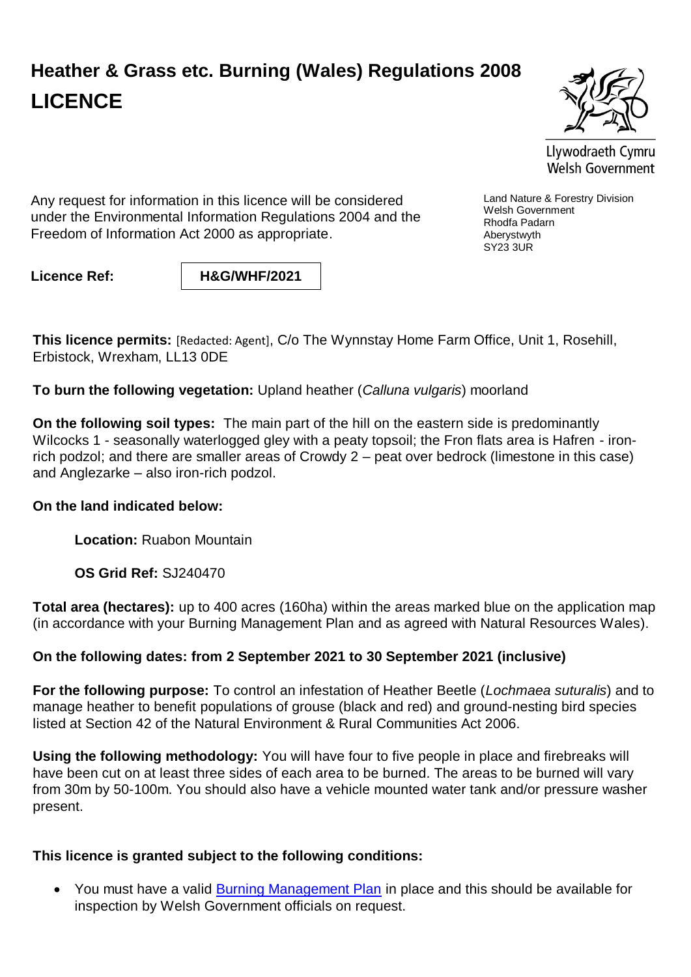## **Heather & Grass etc. Burning (Wales) Regulations 2008 LICENCE**



Llywodraeth Cymru Welsh Government

Land Nature & Forestry Division

Welsh Government Rhodfa Padarn Aberystwyth SY23 3UR

Any request for information in this licence will be considered under the Environmental Information Regulations 2004 and the Freedom of Information Act 2000 as appropriate.

**Licence Ref: H&G/WHF/2021**

**This licence permits:** [Redacted: Agent], C/o The Wynnstay Home Farm Office, Unit 1, Rosehill, Erbistock, Wrexham, LL13 0DE

**To burn the following vegetation:** Upland heather (*Calluna vulgaris*) moorland

**On the following soil types:** The main part of the hill on the eastern side is predominantly Wilcocks 1 - seasonally waterlogged gley with a peaty topsoil; the Fron flats area is Hafren - ironrich podzol; and there are smaller areas of Crowdy 2 – peat over bedrock (limestone in this case) and Anglezarke – also iron-rich podzol.

## **On the land indicated below:**

**Location:** Ruabon Mountain

**OS Grid Ref:** SJ240470

**Total area (hectares):** up to 400 acres (160ha) within the areas marked blue on the application map (in accordance with your Burning Management Plan and as agreed with Natural Resources Wales).

## **On the following dates: from 2 September 2021 to 30 September 2021 (inclusive)**

**For the following purpose:** To control an infestation of Heather Beetle (*Lochmaea suturalis*) and to manage heather to benefit populations of grouse (black and red) and ground-nesting bird species listed at Section 42 of the Natural Environment & Rural Communities Act 2006.

**Using the following methodology:** You will have four to five people in place and firebreaks will have been cut on at least three sides of each area to be burned. The areas to be burned will vary from 30m by 50-100m. You should also have a vehicle mounted water tank and/or pressure washer present.

## **This licence is granted subject to the following conditions:**

• You must have a valid [Burning Management Plan](http://gov.wales/docs/drah/publications/100119burningmanagementplanen.pdf) in place and this should be available for inspection by Welsh Government officials on request.